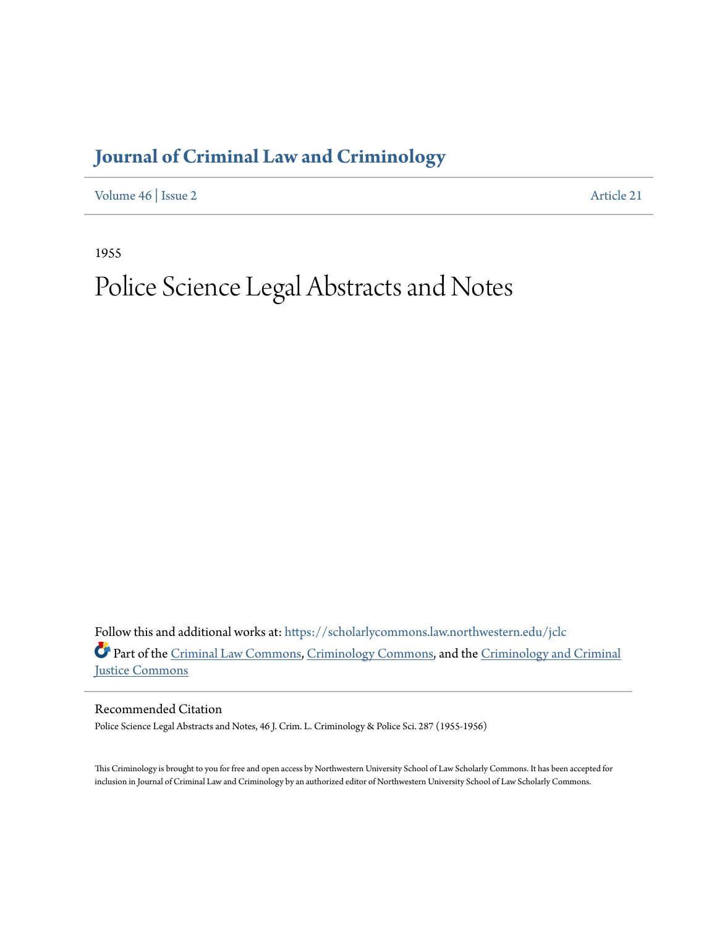## **[Journal of Criminal Law and Criminology](https://scholarlycommons.law.northwestern.edu/jclc?utm_source=scholarlycommons.law.northwestern.edu%2Fjclc%2Fvol46%2Fiss2%2F21&utm_medium=PDF&utm_campaign=PDFCoverPages)**

[Volume 46](https://scholarlycommons.law.northwestern.edu/jclc/vol46?utm_source=scholarlycommons.law.northwestern.edu%2Fjclc%2Fvol46%2Fiss2%2F21&utm_medium=PDF&utm_campaign=PDFCoverPages) | [Issue 2](https://scholarlycommons.law.northwestern.edu/jclc/vol46/iss2?utm_source=scholarlycommons.law.northwestern.edu%2Fjclc%2Fvol46%2Fiss2%2F21&utm_medium=PDF&utm_campaign=PDFCoverPages) [Article 21](https://scholarlycommons.law.northwestern.edu/jclc/vol46/iss2/21?utm_source=scholarlycommons.law.northwestern.edu%2Fjclc%2Fvol46%2Fiss2%2F21&utm_medium=PDF&utm_campaign=PDFCoverPages)

1955

## Police Science Legal Abstracts and Notes

Follow this and additional works at: [https://scholarlycommons.law.northwestern.edu/jclc](https://scholarlycommons.law.northwestern.edu/jclc?utm_source=scholarlycommons.law.northwestern.edu%2Fjclc%2Fvol46%2Fiss2%2F21&utm_medium=PDF&utm_campaign=PDFCoverPages) Part of the [Criminal Law Commons](http://network.bepress.com/hgg/discipline/912?utm_source=scholarlycommons.law.northwestern.edu%2Fjclc%2Fvol46%2Fiss2%2F21&utm_medium=PDF&utm_campaign=PDFCoverPages), [Criminology Commons](http://network.bepress.com/hgg/discipline/417?utm_source=scholarlycommons.law.northwestern.edu%2Fjclc%2Fvol46%2Fiss2%2F21&utm_medium=PDF&utm_campaign=PDFCoverPages), and the [Criminology and Criminal](http://network.bepress.com/hgg/discipline/367?utm_source=scholarlycommons.law.northwestern.edu%2Fjclc%2Fvol46%2Fiss2%2F21&utm_medium=PDF&utm_campaign=PDFCoverPages) [Justice Commons](http://network.bepress.com/hgg/discipline/367?utm_source=scholarlycommons.law.northwestern.edu%2Fjclc%2Fvol46%2Fiss2%2F21&utm_medium=PDF&utm_campaign=PDFCoverPages)

Recommended Citation

Police Science Legal Abstracts and Notes, 46 J. Crim. L. Criminology & Police Sci. 287 (1955-1956)

This Criminology is brought to you for free and open access by Northwestern University School of Law Scholarly Commons. It has been accepted for inclusion in Journal of Criminal Law and Criminology by an authorized editor of Northwestern University School of Law Scholarly Commons.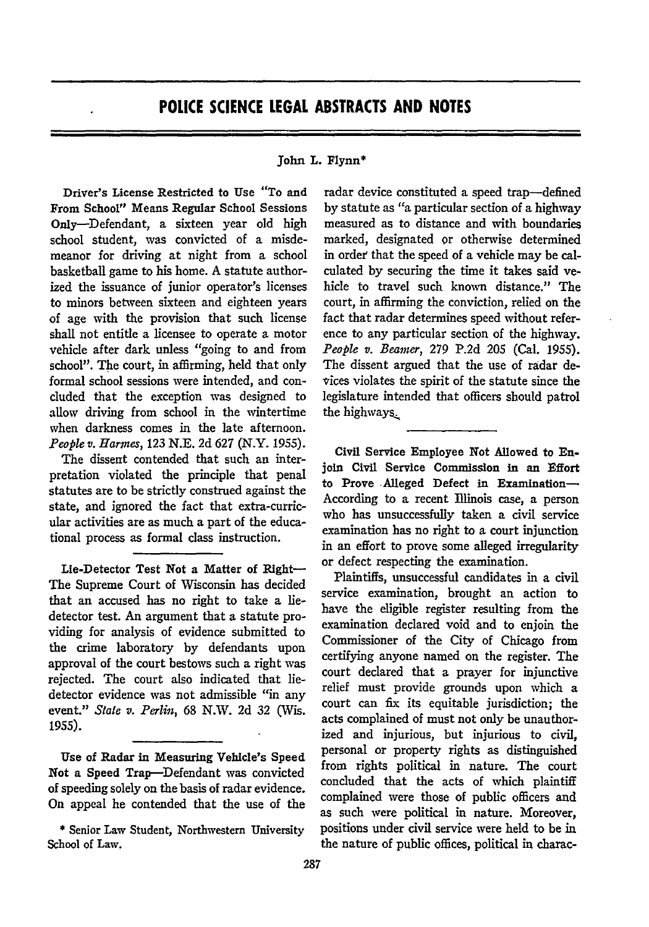## **POLICE SCIENCE LEGAL ABSTRACTS AND NOTES**

## John L. Flynn\*

Driver's License Restricted to Use "To and From School" Means Regular School Sessions Only-Defendant, a sixteen year old high school student, was convicted of a misdemeanor for driving at night from a school basketball game to his home. A statute authorized the issuance of junior operator's licenses to minors between sixteen and eighteen years of age with the provision that such license shall not entitle a licensee to operate a motor vehicle after dark unless "going to and from school". The court, in affirming, held that only formal school sessions were intended, and concluded that the exception was designed to allow driving from school in the wintertime when darkness comes in the late afternoon. *People v. Harmes,* 123 N.E. 2d 627 (N.Y. 1955).

The dissent contended that such an interpretation violated the principle that penal statutes are to be strictly construed against the state, and ignored the fact that extra-curricular activities are as much a part of the educational process as formal class instruction.

Lie-Detector Test Not a Matter of Right-The Supreme Court of Wisconsin has decided that an accused has no right to take a liedetector test. An argument that a statute providing for analysis of evidence submitted to the crime laboratory by defendants upon approval of the court bestows such a right was rejected. The court also indicated that liedetector evidence was not admissible "in any event." *State v. Perlin,* 68 **N.W.** 2d 32 (Wis. **1955).**

Use of Radar in Measuring Vehicle's Speed Not a Speed Trap-Defendant was convicted of speeding solely on the basis of radar evidence. On appeal he contended that the use of the

radar device constituted a speed trap-defined by statute as "a particular section of a highway measured as to distance and with boundaries marked, designated **or** otherwise determined in order that the speed of a vehicle may be calculated by securing the time it takes said vehicle to travel such known distance." The court, in affirming the conviction, relied on the fact that radar determines speed without reference to any particular section of the highway. *People v. Beamer,* **279 P.2d 205** (Cal. 1955). The dissent argued that the use of radar devices violates the spirit of the statute since the legislature intended that officers should patrol the highways.

Civil Service Employee Not Allowed to **En**join Civil Service Commission in an Effort to Prove Alleged Defect in Examination-According to a recent Illinois case, a person who has unsuccessfully taken a civil service examination has no right to a court injunction in an effort to prove some alleged irregularity or defect respecting the examination.

Plaintiffs, unsuccessful candidates in a civil service examination, brought an action to have the eligible register resulting from the examination declared void and to enjoin the Commissioner of the City of Chicago from certifying anyone named on the register. The court declared that a prayer for injunctive relief must provide grounds upon which a court can fix its equitable jurisdiction; the acts complained of must not only be unauthorized and injurious, but injurious to civil, personal or property rights as distinguished from rights political in nature. The court concluded that the acts of which plaintiff complained were those of public officers and as such were political in nature. Moreover, positions under civil service were held to be in the nature of public offices, political in charac-

<sup>\*</sup> Senior Law Student, Northwestern University School of Law.